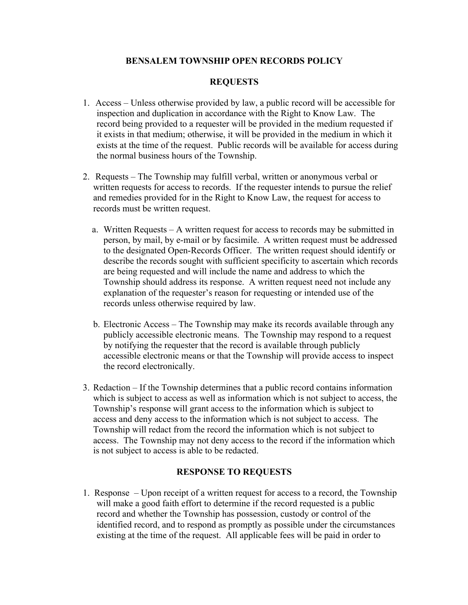# **BENSALEM TOWNSHIP OPEN RECORDS POLICY**

# **REQUESTS**

- 1. Access Unless otherwise provided by law, a public record will be accessible for inspection and duplication in accordance with the Right to Know Law. The record being provided to a requester will be provided in the medium requested if it exists in that medium; otherwise, it will be provided in the medium in which it exists at the time of the request. Public records will be available for access during the normal business hours of the Township.
- 2. Requests The Township may fulfill verbal, written or anonymous verbal or written requests for access to records. If the requester intends to pursue the relief and remedies provided for in the Right to Know Law, the request for access to records must be written request.
	- a. Written Requests A written request for access to records may be submitted in person, by mail, by e-mail or by facsimile. A written request must be addressed to the designated Open-Records Officer. The written request should identify or describe the records sought with sufficient specificity to ascertain which records are being requested and will include the name and address to which the Township should address its response. A written request need not include any explanation of the requester's reason for requesting or intended use of the records unless otherwise required by law.
	- b. Electronic Access The Township may make its records available through any publicly accessible electronic means. The Township may respond to a request by notifying the requester that the record is available through publicly accessible electronic means or that the Township will provide access to inspect the record electronically.
- 3. Redaction If the Township determines that a public record contains information which is subject to access as well as information which is not subject to access, the Township's response will grant access to the information which is subject to access and deny access to the information which is not subject to access. The Township will redact from the record the information which is not subject to access. The Township may not deny access to the record if the information which is not subject to access is able to be redacted.

## **RESPONSE TO REQUESTS**

1. Response – Upon receipt of a written request for access to a record, the Township will make a good faith effort to determine if the record requested is a public record and whether the Township has possession, custody or control of the identified record, and to respond as promptly as possible under the circumstances existing at the time of the request. All applicable fees will be paid in order to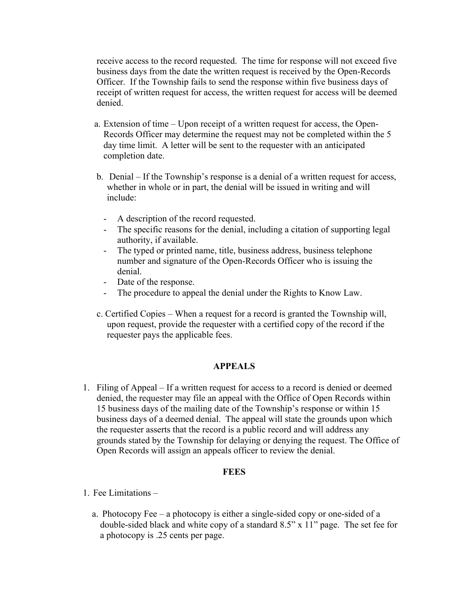receive access to the record requested. The time for response will not exceed five business days from the date the written request is received by the Open-Records Officer. If the Township fails to send the response within five business days of receipt of written request for access, the written request for access will be deemed denied.

- a. Extension of time Upon receipt of a written request for access, the Open-Records Officer may determine the request may not be completed within the 5 day time limit. A letter will be sent to the requester with an anticipated completion date.
- b. Denial If the Township's response is a denial of a written request for access, whether in whole or in part, the denial will be issued in writing and will include:
	- A description of the record requested.
	- The specific reasons for the denial, including a citation of supporting legal authority, if available.
	- The typed or printed name, title, business address, business telephone number and signature of the Open-Records Officer who is issuing the denial.
	- Date of the response.
	- The procedure to appeal the denial under the Rights to Know Law.
- c. Certified Copies When a request for a record is granted the Township will, upon request, provide the requester with a certified copy of the record if the requester pays the applicable fees.

### **APPEALS**

 1. Filing of Appeal – If a written request for access to a record is denied or deemed denied, the requester may file an appeal with the Office of Open Records within 15 business days of the mailing date of the Township's response or within 15 business days of a deemed denial. The appeal will state the grounds upon which the requester asserts that the record is a public record and will address any grounds stated by the Township for delaying or denying the request. The Office of Open Records will assign an appeals officer to review the denial.

#### **FEES**

- 1. Fee Limitations
	- a. Photocopy Fee a photocopy is either a single-sided copy or one-sided of a double-sided black and white copy of a standard 8.5" x 11" page. The set fee for a photocopy is .25 cents per page.